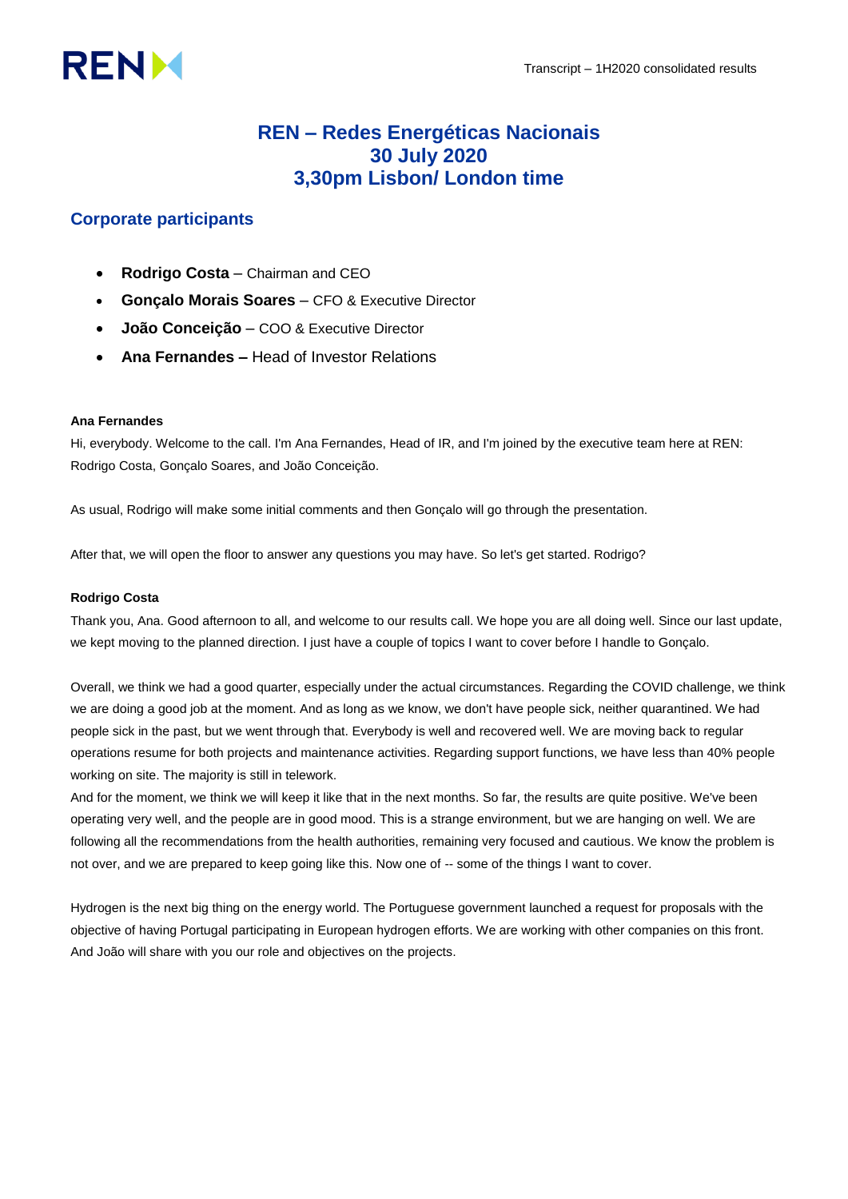# **RENM**

# **REN – Redes Energéticas Nacionais 30 July 2020 3,30pm Lisbon/ London time**

# **Corporate participants**

- **Rodrigo Costa**  Chairman and CEO
- **Gonçalo Morais Soares**  CFO & Executive Director
- **João Conceição**  COO & Executive Director
- **Ana Fernandes –** Head of Investor Relations

# **Ana Fernandes**

Hi, everybody. Welcome to the call. I'm Ana Fernandes, Head of IR, and I'm joined by the executive team here at REN: Rodrigo Costa, Gonçalo Soares, and João Conceição.

As usual, Rodrigo will make some initial comments and then Gonçalo will go through the presentation.

After that, we will open the floor to answer any questions you may have. So let's get started. Rodrigo?

# **Rodrigo Costa**

Thank you, Ana. Good afternoon to all, and welcome to our results call. We hope you are all doing well. Since our last update, we kept moving to the planned direction. I just have a couple of topics I want to cover before I handle to Gonçalo.

Overall, we think we had a good quarter, especially under the actual circumstances. Regarding the COVID challenge, we think we are doing a good job at the moment. And as long as we know, we don't have people sick, neither quarantined. We had people sick in the past, but we went through that. Everybody is well and recovered well. We are moving back to regular operations resume for both projects and maintenance activities. Regarding support functions, we have less than 40% people working on site. The majority is still in telework.

And for the moment, we think we will keep it like that in the next months. So far, the results are quite positive. We've been operating very well, and the people are in good mood. This is a strange environment, but we are hanging on well. We are following all the recommendations from the health authorities, remaining very focused and cautious. We know the problem is not over, and we are prepared to keep going like this. Now one of -- some of the things I want to cover.

Hydrogen is the next big thing on the energy world. The Portuguese government launched a request for proposals with the objective of having Portugal participating in European hydrogen efforts. We are working with other companies on this front. And João will share with you our role and objectives on the projects.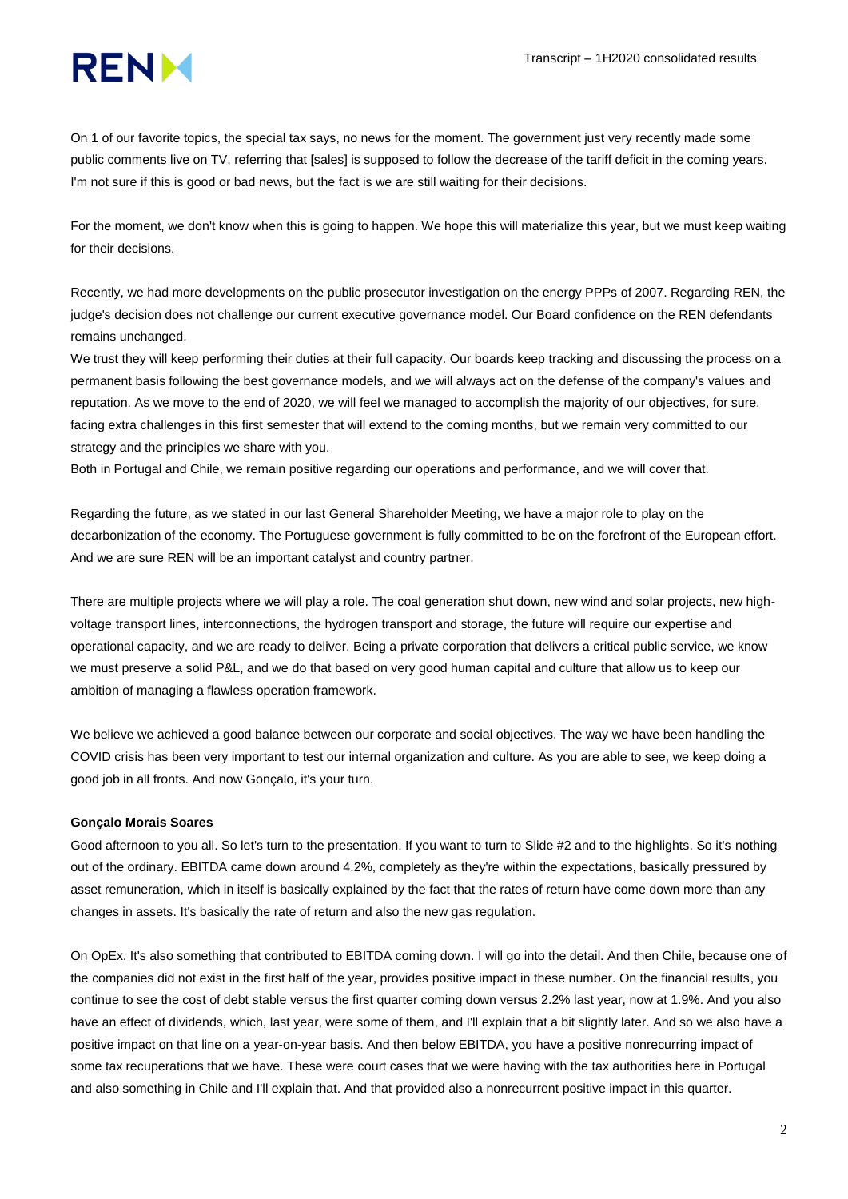

On 1 of our favorite topics, the special tax says, no news for the moment. The government just very recently made some public comments live on TV, referring that [sales] is supposed to follow the decrease of the tariff deficit in the coming years. I'm not sure if this is good or bad news, but the fact is we are still waiting for their decisions.

For the moment, we don't know when this is going to happen. We hope this will materialize this year, but we must keep waiting for their decisions.

Recently, we had more developments on the public prosecutor investigation on the energy PPPs of 2007. Regarding REN, the judge's decision does not challenge our current executive governance model. Our Board confidence on the REN defendants remains unchanged.

We trust they will keep performing their duties at their full capacity. Our boards keep tracking and discussing the process on a permanent basis following the best governance models, and we will always act on the defense of the company's values and reputation. As we move to the end of 2020, we will feel we managed to accomplish the majority of our objectives, for sure, facing extra challenges in this first semester that will extend to the coming months, but we remain very committed to our strategy and the principles we share with you.

Both in Portugal and Chile, we remain positive regarding our operations and performance, and we will cover that.

Regarding the future, as we stated in our last General Shareholder Meeting, we have a major role to play on the decarbonization of the economy. The Portuguese government is fully committed to be on the forefront of the European effort. And we are sure REN will be an important catalyst and country partner.

There are multiple projects where we will play a role. The coal generation shut down, new wind and solar projects, new highvoltage transport lines, interconnections, the hydrogen transport and storage, the future will require our expertise and operational capacity, and we are ready to deliver. Being a private corporation that delivers a critical public service, we know we must preserve a solid P&L, and we do that based on very good human capital and culture that allow us to keep our ambition of managing a flawless operation framework.

We believe we achieved a good balance between our corporate and social objectives. The way we have been handling the COVID crisis has been very important to test our internal organization and culture. As you are able to see, we keep doing a good job in all fronts. And now Gonçalo, it's your turn.

#### **Gonçalo Morais Soares**

Good afternoon to you all. So let's turn to the presentation. If you want to turn to Slide #2 and to the highlights. So it's nothing out of the ordinary. EBITDA came down around 4.2%, completely as they're within the expectations, basically pressured by asset remuneration, which in itself is basically explained by the fact that the rates of return have come down more than any changes in assets. It's basically the rate of return and also the new gas regulation.

On OpEx. It's also something that contributed to EBITDA coming down. I will go into the detail. And then Chile, because one of the companies did not exist in the first half of the year, provides positive impact in these number. On the financial results, you continue to see the cost of debt stable versus the first quarter coming down versus 2.2% last year, now at 1.9%. And you also have an effect of dividends, which, last year, were some of them, and I'll explain that a bit slightly later. And so we also have a positive impact on that line on a year-on-year basis. And then below EBITDA, you have a positive nonrecurring impact of some tax recuperations that we have. These were court cases that we were having with the tax authorities here in Portugal and also something in Chile and I'll explain that. And that provided also a nonrecurrent positive impact in this quarter.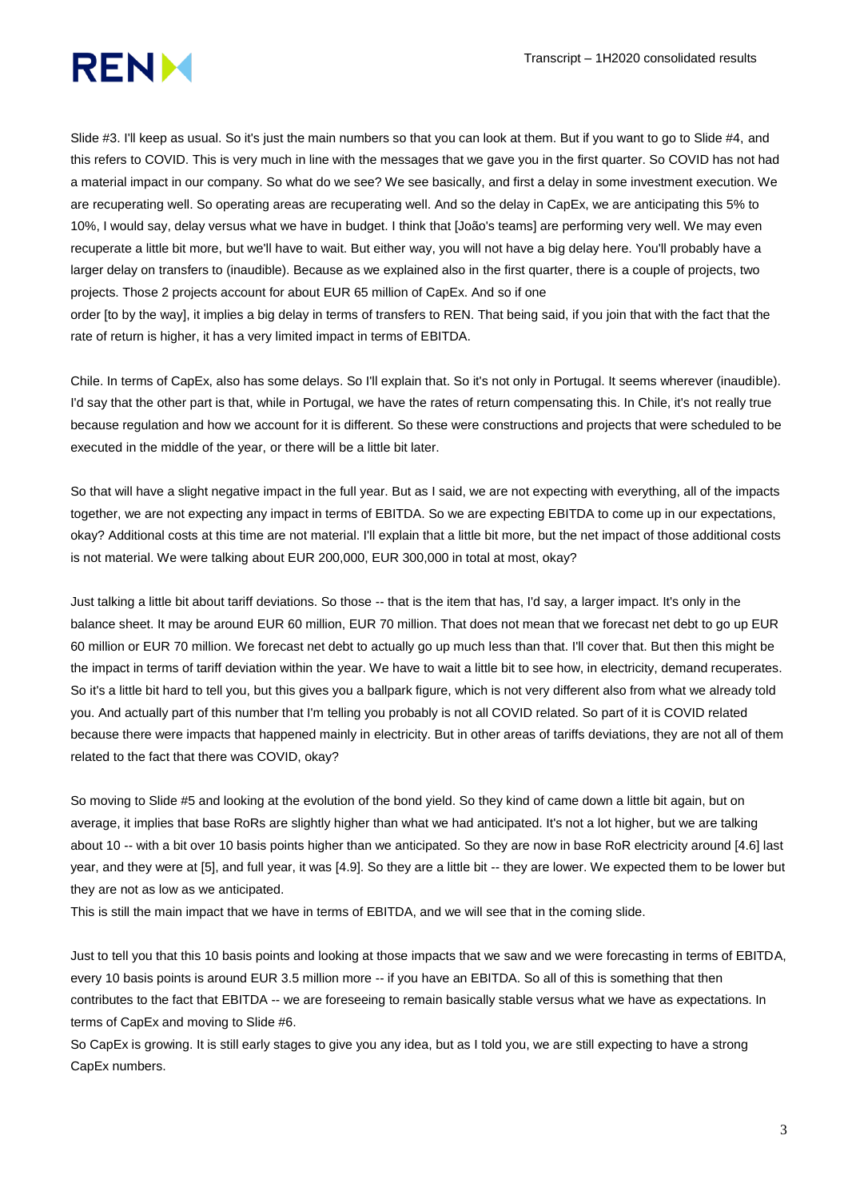

Slide #3. I'll keep as usual. So it's just the main numbers so that you can look at them. But if you want to go to Slide #4, and this refers to COVID. This is very much in line with the messages that we gave you in the first quarter. So COVID has not had a material impact in our company. So what do we see? We see basically, and first a delay in some investment execution. We are recuperating well. So operating areas are recuperating well. And so the delay in CapEx, we are anticipating this 5% to 10%, I would say, delay versus what we have in budget. I think that [João's teams] are performing very well. We may even recuperate a little bit more, but we'll have to wait. But either way, you will not have a big delay here. You'll probably have a larger delay on transfers to (inaudible). Because as we explained also in the first quarter, there is a couple of projects, two projects. Those 2 projects account for about EUR 65 million of CapEx. And so if one

order [to by the way], it implies a big delay in terms of transfers to REN. That being said, if you join that with the fact that the rate of return is higher, it has a very limited impact in terms of EBITDA.

Chile. In terms of CapEx, also has some delays. So I'll explain that. So it's not only in Portugal. It seems wherever (inaudible). I'd say that the other part is that, while in Portugal, we have the rates of return compensating this. In Chile, it's not really true because regulation and how we account for it is different. So these were constructions and projects that were scheduled to be executed in the middle of the year, or there will be a little bit later.

So that will have a slight negative impact in the full year. But as I said, we are not expecting with everything, all of the impacts together, we are not expecting any impact in terms of EBITDA. So we are expecting EBITDA to come up in our expectations, okay? Additional costs at this time are not material. I'll explain that a little bit more, but the net impact of those additional costs is not material. We were talking about EUR 200,000, EUR 300,000 in total at most, okay?

Just talking a little bit about tariff deviations. So those -- that is the item that has, I'd say, a larger impact. It's only in the balance sheet. It may be around EUR 60 million, EUR 70 million. That does not mean that we forecast net debt to go up EUR 60 million or EUR 70 million. We forecast net debt to actually go up much less than that. I'll cover that. But then this might be the impact in terms of tariff deviation within the year. We have to wait a little bit to see how, in electricity, demand recuperates. So it's a little bit hard to tell you, but this gives you a ballpark figure, which is not very different also from what we already told you. And actually part of this number that I'm telling you probably is not all COVID related. So part of it is COVID related because there were impacts that happened mainly in electricity. But in other areas of tariffs deviations, they are not all of them related to the fact that there was COVID, okay?

So moving to Slide #5 and looking at the evolution of the bond yield. So they kind of came down a little bit again, but on average, it implies that base RoRs are slightly higher than what we had anticipated. It's not a lot higher, but we are talking about 10 -- with a bit over 10 basis points higher than we anticipated. So they are now in base RoR electricity around [4.6] last year, and they were at [5], and full year, it was [4.9]. So they are a little bit -- they are lower. We expected them to be lower but they are not as low as we anticipated.

This is still the main impact that we have in terms of EBITDA, and we will see that in the coming slide.

Just to tell you that this 10 basis points and looking at those impacts that we saw and we were forecasting in terms of EBITDA, every 10 basis points is around EUR 3.5 million more -- if you have an EBITDA. So all of this is something that then contributes to the fact that EBITDA -- we are foreseeing to remain basically stable versus what we have as expectations. In terms of CapEx and moving to Slide #6.

So CapEx is growing. It is still early stages to give you any idea, but as I told you, we are still expecting to have a strong CapEx numbers.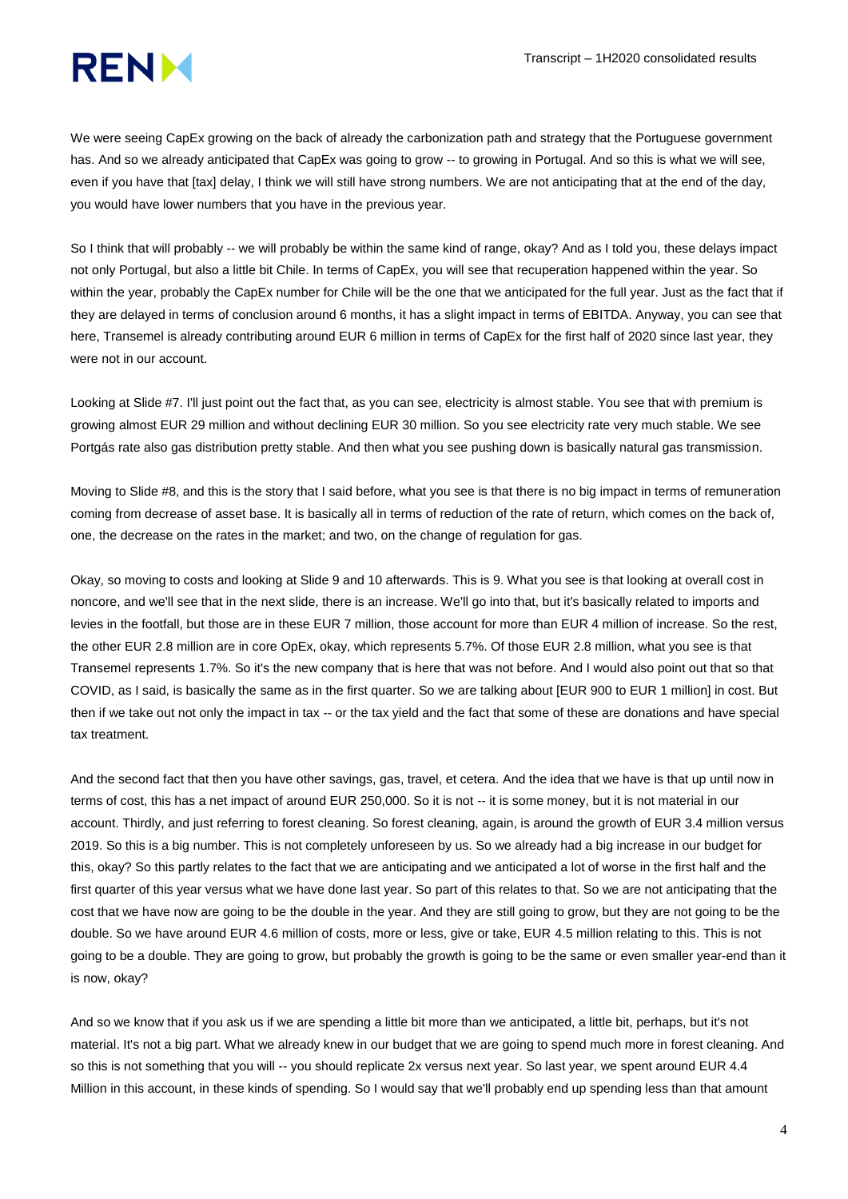

We were seeing CapEx growing on the back of already the carbonization path and strategy that the Portuguese government has. And so we already anticipated that CapEx was going to grow -- to growing in Portugal. And so this is what we will see, even if you have that [tax] delay, I think we will still have strong numbers. We are not anticipating that at the end of the day, you would have lower numbers that you have in the previous year.

So I think that will probably -- we will probably be within the same kind of range, okay? And as I told you, these delays impact not only Portugal, but also a little bit Chile. In terms of CapEx, you will see that recuperation happened within the year. So within the year, probably the CapEx number for Chile will be the one that we anticipated for the full year. Just as the fact that if they are delayed in terms of conclusion around 6 months, it has a slight impact in terms of EBITDA. Anyway, you can see that here, Transemel is already contributing around EUR 6 million in terms of CapEx for the first half of 2020 since last year, they were not in our account.

Looking at Slide #7. I'll just point out the fact that, as you can see, electricity is almost stable. You see that with premium is growing almost EUR 29 million and without declining EUR 30 million. So you see electricity rate very much stable. We see Portgás rate also gas distribution pretty stable. And then what you see pushing down is basically natural gas transmission.

Moving to Slide #8, and this is the story that I said before, what you see is that there is no big impact in terms of remuneration coming from decrease of asset base. It is basically all in terms of reduction of the rate of return, which comes on the back of, one, the decrease on the rates in the market; and two, on the change of regulation for gas.

Okay, so moving to costs and looking at Slide 9 and 10 afterwards. This is 9. What you see is that looking at overall cost in noncore, and we'll see that in the next slide, there is an increase. We'll go into that, but it's basically related to imports and levies in the footfall, but those are in these EUR 7 million, those account for more than EUR 4 million of increase. So the rest, the other EUR 2.8 million are in core OpEx, okay, which represents 5.7%. Of those EUR 2.8 million, what you see is that Transemel represents 1.7%. So it's the new company that is here that was not before. And I would also point out that so that COVID, as I said, is basically the same as in the first quarter. So we are talking about [EUR 900 to EUR 1 million] in cost. But then if we take out not only the impact in tax -- or the tax yield and the fact that some of these are donations and have special tax treatment.

And the second fact that then you have other savings, gas, travel, et cetera. And the idea that we have is that up until now in terms of cost, this has a net impact of around EUR 250,000. So it is not -- it is some money, but it is not material in our account. Thirdly, and just referring to forest cleaning. So forest cleaning, again, is around the growth of EUR 3.4 million versus 2019. So this is a big number. This is not completely unforeseen by us. So we already had a big increase in our budget for this, okay? So this partly relates to the fact that we are anticipating and we anticipated a lot of worse in the first half and the first quarter of this year versus what we have done last year. So part of this relates to that. So we are not anticipating that the cost that we have now are going to be the double in the year. And they are still going to grow, but they are not going to be the double. So we have around EUR 4.6 million of costs, more or less, give or take, EUR 4.5 million relating to this. This is not going to be a double. They are going to grow, but probably the growth is going to be the same or even smaller year-end than it is now, okay?

And so we know that if you ask us if we are spending a little bit more than we anticipated, a little bit, perhaps, but it's not material. It's not a big part. What we already knew in our budget that we are going to spend much more in forest cleaning. And so this is not something that you will -- you should replicate 2x versus next year. So last year, we spent around EUR 4.4 Million in this account, in these kinds of spending. So I would say that we'll probably end up spending less than that amount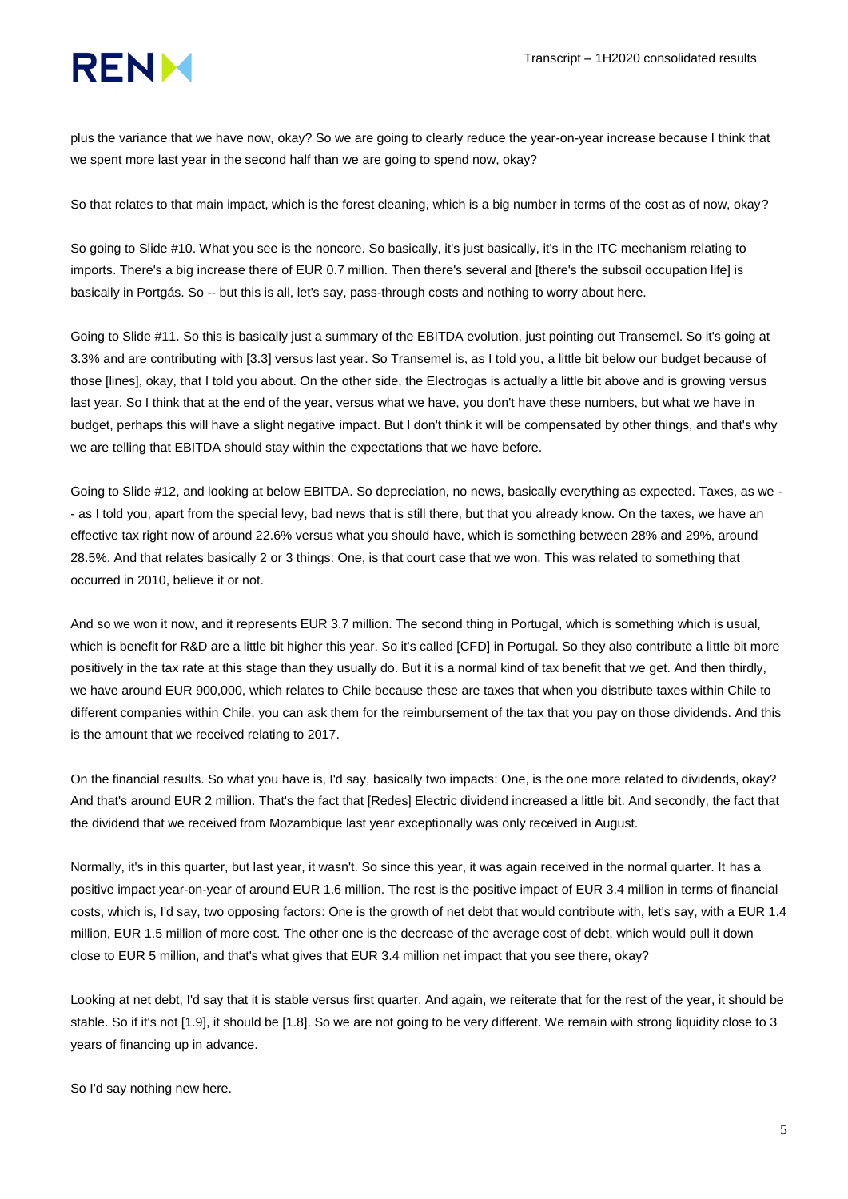

plus the variance that we have now, okay? So we are going to clearly reduce the year-on-year increase because I think that we spent more last year in the second half than we are going to spend now, okay?

So that relates to that main impact, which is the forest cleaning, which is a big number in terms of the cost as of now, okay?

So going to Slide #10. What you see is the noncore. So basically, it's just basically, it's in the ITC mechanism relating to imports. There's a big increase there of EUR 0.7 million. Then there's several and [there's the subsoil occupation life] is basically in Portgás. So -- but this is all, let's say, pass-through costs and nothing to worry about here.

Going to Slide #11. So this is basically just a summary of the EBITDA evolution, just pointing out Transemel. So it's going at 3.3% and are contributing with [3.3] versus last year. So Transemel is, as I told you, a little bit below our budget because of those [lines], okay, that I told you about. On the other side, the Electrogas is actually a little bit above and is growing versus last year. So I think that at the end of the year, versus what we have, you don't have these numbers, but what we have in budget, perhaps this will have a slight negative impact. But I don't think it will be compensated by other things, and that's why we are telling that EBITDA should stay within the expectations that we have before.

Going to Slide #12, and looking at below EBITDA. So depreciation, no news, basically everything as expected. Taxes, as we - - as I told you, apart from the special levy, bad news that is still there, but that you already know. On the taxes, we have an effective tax right now of around 22.6% versus what you should have, which is something between 28% and 29%, around 28.5%. And that relates basically 2 or 3 things: One, is that court case that we won. This was related to something that occurred in 2010, believe it or not.

And so we won it now, and it represents EUR 3.7 million. The second thing in Portugal, which is something which is usual, which is benefit for R&D are a little bit higher this year. So it's called [CFD] in Portugal. So they also contribute a little bit more positively in the tax rate at this stage than they usually do. But it is a normal kind of tax benefit that we get. And then thirdly, we have around EUR 900,000, which relates to Chile because these are taxes that when you distribute taxes within Chile to different companies within Chile, you can ask them for the reimbursement of the tax that you pay on those dividends. And this is the amount that we received relating to 2017.

On the financial results. So what you have is, I'd say, basically two impacts: One, is the one more related to dividends, okay? And that's around EUR 2 million. That's the fact that [Redes] Electric dividend increased a little bit. And secondly, the fact that the dividend that we received from Mozambique last year exceptionally was only received in August.

Normally, it's in this quarter, but last year, it wasn't. So since this year, it was again received in the normal quarter. It has a positive impact year-on-year of around EUR 1.6 million. The rest is the positive impact of EUR 3.4 million in terms of financial costs, which is, I'd say, two opposing factors: One is the growth of net debt that would contribute with, let's say, with a EUR 1.4 million, EUR 1.5 million of more cost. The other one is the decrease of the average cost of debt, which would pull it down close to EUR 5 million, and that's what gives that EUR 3.4 million net impact that you see there, okay?

Looking at net debt, I'd say that it is stable versus first quarter. And again, we reiterate that for the rest of the year, it should be stable. So if it's not [1.9], it should be [1.8]. So we are not going to be very different. We remain with strong liquidity close to 3 years of financing up in advance.

So I'd say nothing new here.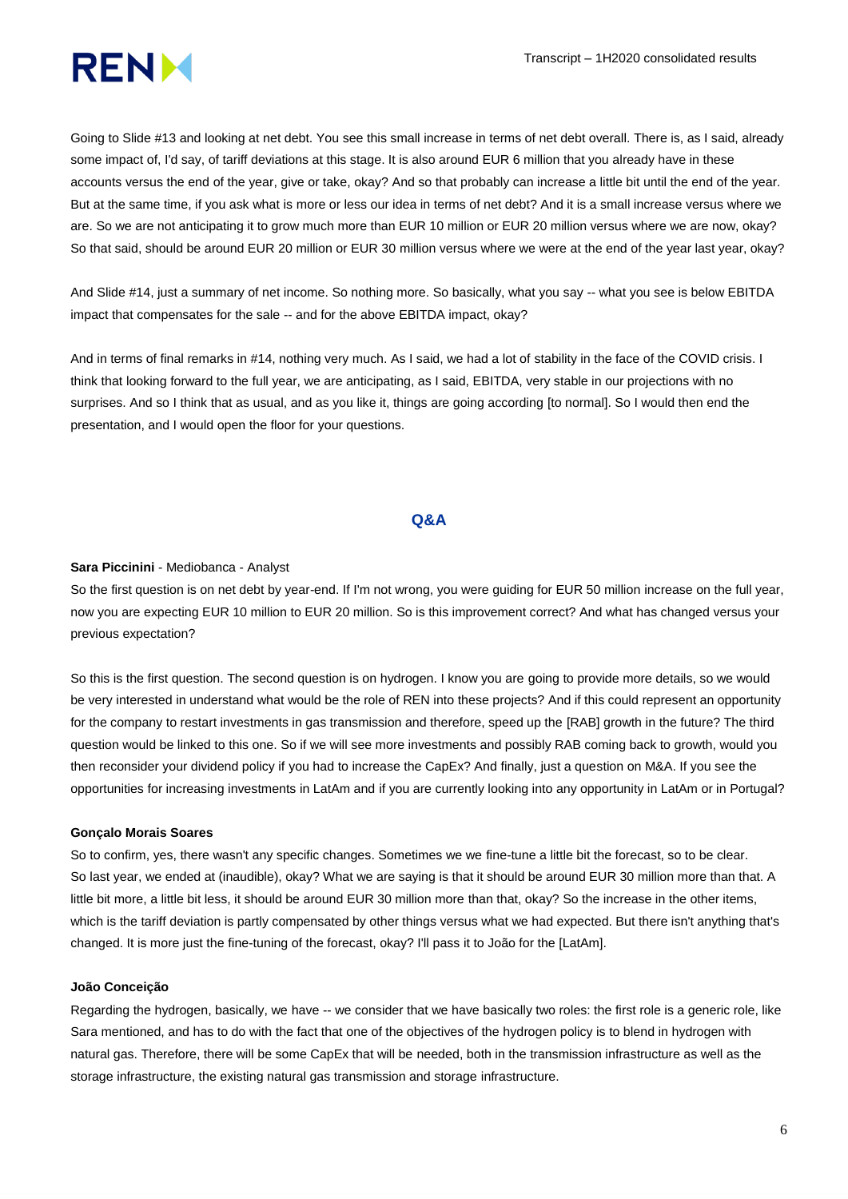

Going to Slide #13 and looking at net debt. You see this small increase in terms of net debt overall. There is, as I said, already some impact of, I'd say, of tariff deviations at this stage. It is also around EUR 6 million that you already have in these accounts versus the end of the year, give or take, okay? And so that probably can increase a little bit until the end of the year. But at the same time, if you ask what is more or less our idea in terms of net debt? And it is a small increase versus where we are. So we are not anticipating it to grow much more than EUR 10 million or EUR 20 million versus where we are now, okay? So that said, should be around EUR 20 million or EUR 30 million versus where we were at the end of the year last year, okay?

And Slide #14, just a summary of net income. So nothing more. So basically, what you say -- what you see is below EBITDA impact that compensates for the sale -- and for the above EBITDA impact, okay?

And in terms of final remarks in #14, nothing very much. As I said, we had a lot of stability in the face of the COVID crisis. I think that looking forward to the full year, we are anticipating, as I said, EBITDA, very stable in our projections with no surprises. And so I think that as usual, and as you like it, things are going according [to normal]. So I would then end the presentation, and I would open the floor for your questions.

# **Q&A**

#### **Sara Piccinini** - Mediobanca - Analyst

So the first question is on net debt by year-end. If I'm not wrong, you were guiding for EUR 50 million increase on the full year, now you are expecting EUR 10 million to EUR 20 million. So is this improvement correct? And what has changed versus your previous expectation?

So this is the first question. The second question is on hydrogen. I know you are going to provide more details, so we would be very interested in understand what would be the role of REN into these projects? And if this could represent an opportunity for the company to restart investments in gas transmission and therefore, speed up the [RAB] growth in the future? The third question would be linked to this one. So if we will see more investments and possibly RAB coming back to growth, would you then reconsider your dividend policy if you had to increase the CapEx? And finally, just a question on M&A. If you see the opportunities for increasing investments in LatAm and if you are currently looking into any opportunity in LatAm or in Portugal?

#### **Gonçalo Morais Soares**

So to confirm, yes, there wasn't any specific changes. Sometimes we we fine-tune a little bit the forecast, so to be clear. So last year, we ended at (inaudible), okay? What we are saying is that it should be around EUR 30 million more than that. A little bit more, a little bit less, it should be around EUR 30 million more than that, okay? So the increase in the other items, which is the tariff deviation is partly compensated by other things versus what we had expected. But there isn't anything that's changed. It is more just the fine-tuning of the forecast, okay? I'll pass it to João for the [LatAm].

### **João Conceição**

Regarding the hydrogen, basically, we have -- we consider that we have basically two roles: the first role is a generic role, like Sara mentioned, and has to do with the fact that one of the objectives of the hydrogen policy is to blend in hydrogen with natural gas. Therefore, there will be some CapEx that will be needed, both in the transmission infrastructure as well as the storage infrastructure, the existing natural gas transmission and storage infrastructure.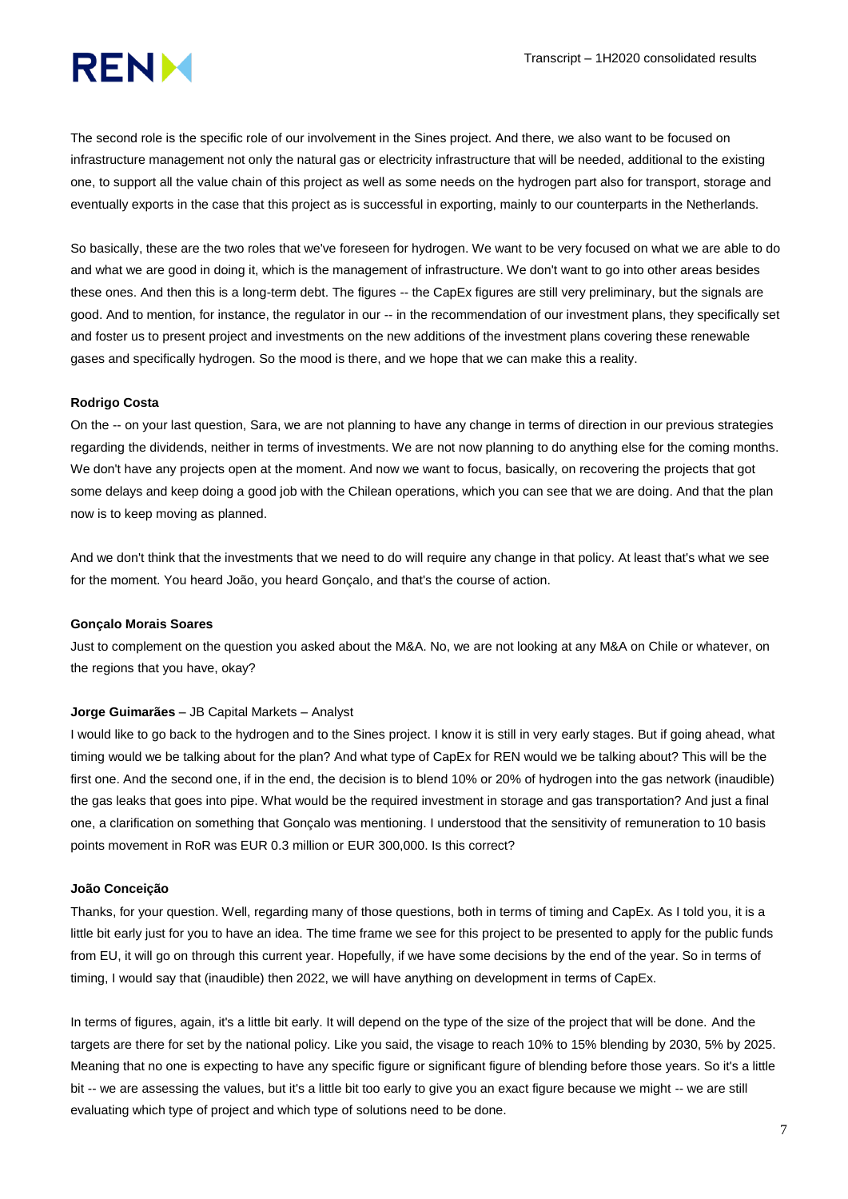

The second role is the specific role of our involvement in the Sines project. And there, we also want to be focused on infrastructure management not only the natural gas or electricity infrastructure that will be needed, additional to the existing one, to support all the value chain of this project as well as some needs on the hydrogen part also for transport, storage and eventually exports in the case that this project as is successful in exporting, mainly to our counterparts in the Netherlands.

So basically, these are the two roles that we've foreseen for hydrogen. We want to be very focused on what we are able to do and what we are good in doing it, which is the management of infrastructure. We don't want to go into other areas besides these ones. And then this is a long-term debt. The figures -- the CapEx figures are still very preliminary, but the signals are good. And to mention, for instance, the regulator in our -- in the recommendation of our investment plans, they specifically set and foster us to present project and investments on the new additions of the investment plans covering these renewable gases and specifically hydrogen. So the mood is there, and we hope that we can make this a reality.

#### **Rodrigo Costa**

On the -- on your last question, Sara, we are not planning to have any change in terms of direction in our previous strategies regarding the dividends, neither in terms of investments. We are not now planning to do anything else for the coming months. We don't have any projects open at the moment. And now we want to focus, basically, on recovering the projects that got some delays and keep doing a good job with the Chilean operations, which you can see that we are doing. And that the plan now is to keep moving as planned.

And we don't think that the investments that we need to do will require any change in that policy. At least that's what we see for the moment. You heard João, you heard Gonçalo, and that's the course of action.

#### **Gonçalo Morais Soares**

Just to complement on the question you asked about the M&A. No, we are not looking at any M&A on Chile or whatever, on the regions that you have, okay?

#### **Jorge Guimarães** – JB Capital Markets – Analyst

I would like to go back to the hydrogen and to the Sines project. I know it is still in very early stages. But if going ahead, what timing would we be talking about for the plan? And what type of CapEx for REN would we be talking about? This will be the first one. And the second one, if in the end, the decision is to blend 10% or 20% of hydrogen into the gas network (inaudible) the gas leaks that goes into pipe. What would be the required investment in storage and gas transportation? And just a final one, a clarification on something that Gonçalo was mentioning. I understood that the sensitivity of remuneration to 10 basis points movement in RoR was EUR 0.3 million or EUR 300,000. Is this correct?

#### **João Conceição**

Thanks, for your question. Well, regarding many of those questions, both in terms of timing and CapEx. As I told you, it is a little bit early just for you to have an idea. The time frame we see for this project to be presented to apply for the public funds from EU, it will go on through this current year. Hopefully, if we have some decisions by the end of the year. So in terms of timing, I would say that (inaudible) then 2022, we will have anything on development in terms of CapEx.

In terms of figures, again, it's a little bit early. It will depend on the type of the size of the project that will be done. And the targets are there for set by the national policy. Like you said, the visage to reach 10% to 15% blending by 2030, 5% by 2025. Meaning that no one is expecting to have any specific figure or significant figure of blending before those years. So it's a little bit -- we are assessing the values, but it's a little bit too early to give you an exact figure because we might -- we are still evaluating which type of project and which type of solutions need to be done.